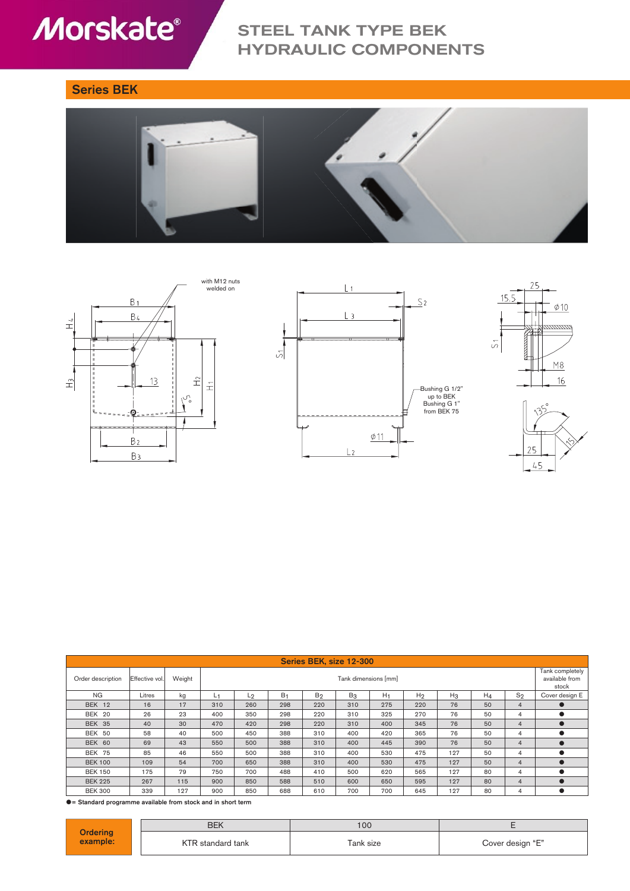# **Morskate®**

## STEEL TANK TYPE BEK HYDRAULIC COMPONENTS

### Series BEK











| Series BEK, size 12-300 |                |        |                      |                |                |                |       |       |                |       |                                            |                |                |
|-------------------------|----------------|--------|----------------------|----------------|----------------|----------------|-------|-------|----------------|-------|--------------------------------------------|----------------|----------------|
| Order description       | Effective vol. | Weight | Tank dimensions [mm] |                |                |                |       |       |                |       | Tank completely<br>available from<br>stock |                |                |
| <b>NG</b>               | Litres         | kg     | Ĺ١                   | L <sub>2</sub> | B <sub>1</sub> | B <sub>2</sub> | $B_3$ | $H_1$ | H <sub>2</sub> | $H_3$ | $H_4$                                      | $S_2$          | Cover design E |
| BEK 12                  | 16             | 17     | 310                  | 260            | 298            | 220            | 310   | 275   | 220            | 76    | 50                                         | 4              |                |
| BEK 20                  | 26             | 23     | 400                  | 350            | 298            | 220            | 310   | 325   | 270            | 76    | 50                                         | 4              |                |
| <b>BEK 35</b>           | 40             | 30     | 470                  | 420            | 298            | 220            | 310   | 400   | 345            | 76    | 50                                         | $\overline{4}$ |                |
| BEK 50                  | 58             | 40     | 500                  | 450            | 388            | 310            | 400   | 420   | 365            | 76    | 50                                         | 4              |                |
| BEK 60                  | 69             | 43     | 550                  | 500            | 388            | 310            | 400   | 445   | 390            | 76    | 50                                         | 4              |                |
| <b>BEK 75</b>           | 85             | 46     | 550                  | 500            | 388            | 310            | 400   | 530   | 475            | 127   | 50                                         | 4              |                |
| <b>BEK 100</b>          | 109            | 54     | 700                  | 650            | 388            | 310            | 400   | 530   | 475            | 127   | 50                                         | $\overline{4}$ |                |
| <b>BEK 150</b>          | 175            | 79     | 750                  | 700            | 488            | 410            | 500   | 620   | 565            | 127   | 80                                         | 4              |                |
| <b>BEK 225</b>          | 267            | 115    | 900                  | 850            | 588            | 510            | 600   | 650   | 595            | 127   | 80                                         | $\overline{4}$ |                |
| <b>BEK 300</b>          | 339            | 127    | 900                  | 850            | 688            | 610            | 700   | 700   | 645            | 127   | 80                                         |                |                |

= Standard programme available from stock and in short term

|                      | <b>BEK</b>      | 100       |                  |  |  |  |
|----------------------|-----------------|-----------|------------------|--|--|--|
| Ordering<br>example: | ` standard tank | Tank size | Cover design "E" |  |  |  |